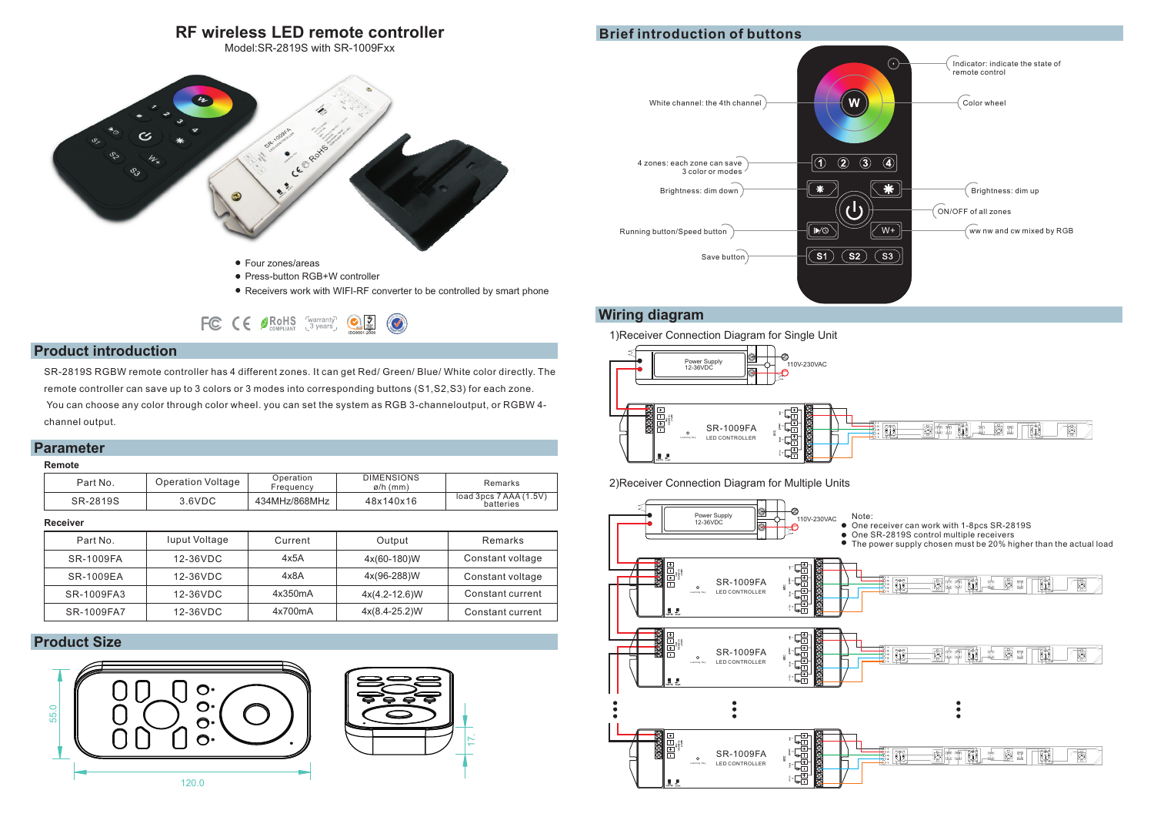# **RF wireless LED remote controller**

Model:SR-2819S with SR-1009Fxx



- Press-button RGB+W controller
- Receivers work with WIFI-RF converter to be controlled by smart phone

FC CE OROHS Warranty OZ C

### **Product introduction**

SR-2819S RGBW remote controller has 4 different zones. It can get Red/ Green/ Blue/ White color directly. The remote controller can save up to 3 colors or 3 modes into corresponding buttons (S1,S2,S3) for each zone. You can choose any color through color wheel. you can set the system as RGB 3-channeloutput, or RGBW 4 channel output.

# **Parameter**

#### **Remote**

| Part No. | Operation Voltage | Operation<br>Freauencv | DIMENSIONS<br>$\varphi/h$ (mm) | Remarks                             |
|----------|-------------------|------------------------|--------------------------------|-------------------------------------|
| SR-2819S | 3.6VDC            | 434MHz/868MHz          | 48x140x16                      | load 3pcs 7 AAA (1.5V)<br>batteries |

#### **Receiver**

| Part No.   | luput Voltage | Current | Output          | Remarks          |
|------------|---------------|---------|-----------------|------------------|
| SR-1009FA  | 12-36VDC      | 4x5A    | 4x(60-180)W     | Constant voltage |
| SR-1009EA  | 12-36VDC      | 4x8A    | 4x(96-288)W     | Constant voltage |
| SR-1009FA3 | 12-36VDC      | 4x350mA | $4x(4.2-12.6)W$ | Constant current |
| SR-1009FA7 | 12-36VDC      | 4x700mA | $4x(8.4-25.2)W$ | Constant current |

# **Product Size**





17.

### **Wiring diagram**

1)Receiver Connection Diagram for Single Unit



2)Receiver Connection Diagram for Multiple Units



# **Brief introduction of buttons**